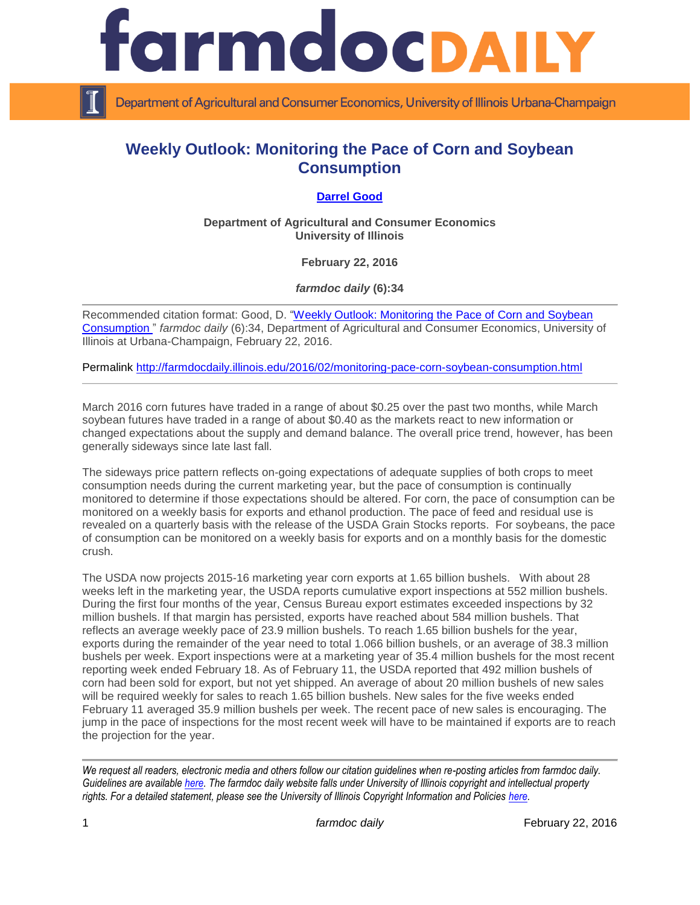

Department of Agricultural and Consumer Economics, University of Illinois Urbana-Champaign

## **Weekly Outlook: Monitoring the Pace of Corn and Soybean Consumption**

## **[Darrel Good](http://farmdoc.illinois.edu/good)**

**Department of Agricultural and Consumer Economics University of Illinois**

**February 22, 2016**

*farmdoc daily* **(6):34**

Recommended citation format: Good, D. "Weekly Outlook: Monitoring the Pace of Corn and Soybean [Consumption "](http://farmdocdaily.illinois.edu/2016/02/monitoring-pace-corn-soybean-consumption.html) *farmdoc daily* (6):34, Department of Agricultural and Consumer Economics, University of Illinois at Urbana-Champaign, February 22, 2016.

Permalink <http://farmdocdaily.illinois.edu/2016/02/monitoring-pace-corn-soybean-consumption.html>

March 2016 corn futures have traded in a range of about \$0.25 over the past two months, while March soybean futures have traded in a range of about \$0.40 as the markets react to new information or changed expectations about the supply and demand balance. The overall price trend, however, has been generally sideways since late last fall.

The sideways price pattern reflects on-going expectations of adequate supplies of both crops to meet consumption needs during the current marketing year, but the pace of consumption is continually monitored to determine if those expectations should be altered. For corn, the pace of consumption can be monitored on a weekly basis for exports and ethanol production. The pace of feed and residual use is revealed on a quarterly basis with the release of the USDA Grain Stocks reports. For soybeans, the pace of consumption can be monitored on a weekly basis for exports and on a monthly basis for the domestic crush.

The USDA now projects 2015-16 marketing year corn exports at 1.65 billion bushels. With about 28 weeks left in the marketing year, the USDA reports cumulative export inspections at 552 million bushels. During the first four months of the year, Census Bureau export estimates exceeded inspections by 32 million bushels. If that margin has persisted, exports have reached about 584 million bushels. That reflects an average weekly pace of 23.9 million bushels. To reach 1.65 billion bushels for the year, exports during the remainder of the year need to total 1.066 billion bushels, or an average of 38.3 million bushels per week. Export inspections were at a marketing year of 35.4 million bushels for the most recent reporting week ended February 18. As of February 11, the USDA reported that 492 million bushels of corn had been sold for export, but not yet shipped. An average of about 20 million bushels of new sales will be required weekly for sales to reach 1.65 billion bushels. New sales for the five weeks ended February 11 averaged 35.9 million bushels per week. The recent pace of new sales is encouraging. The jump in the pace of inspections for the most recent week will have to be maintained if exports are to reach the projection for the year.

*We request all readers, electronic media and others follow our citation guidelines when re-posting articles from farmdoc daily. Guidelines are available [here.](http://farmdocdaily.illinois.edu/citationguide.html) The farmdoc daily website falls under University of Illinois copyright and intellectual property rights. For a detailed statement, please see the University of Illinois Copyright Information and Policies [here.](http://www.cio.illinois.edu/policies/copyright/)*